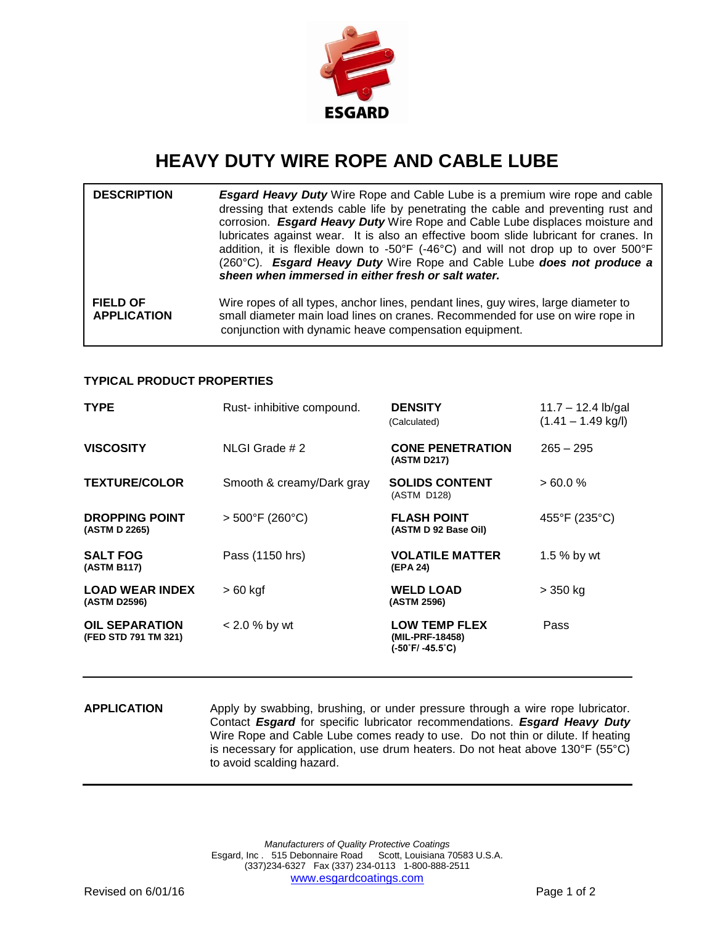

## **HEAVY DUTY WIRE ROPE AND CABLE LUBE**

| <b>DESCRIPTION</b>                    | <b>Esgard Heavy Duty</b> Wire Rope and Cable Lube is a premium wire rope and cable<br>dressing that extends cable life by penetrating the cable and preventing rust and<br>corrosion. Esgard Heavy Duty Wire Rope and Cable Lube displaces moisture and<br>lubricates against wear. It is also an effective boom slide lubricant for cranes. In<br>addition, it is flexible down to -50°F (-46°C) and will not drop up to over 500°F<br>(260°C). Esgard Heavy Duty Wire Rope and Cable Lube does not produce a<br>sheen when immersed in either fresh or salt water. |
|---------------------------------------|----------------------------------------------------------------------------------------------------------------------------------------------------------------------------------------------------------------------------------------------------------------------------------------------------------------------------------------------------------------------------------------------------------------------------------------------------------------------------------------------------------------------------------------------------------------------|
| <b>FIELD OF</b><br><b>APPLICATION</b> | Wire ropes of all types, anchor lines, pendant lines, guy wires, large diameter to<br>small diameter main load lines on cranes. Recommended for use on wire rope in<br>conjunction with dynamic heave compensation equipment.                                                                                                                                                                                                                                                                                                                                        |

## **TYPICAL PRODUCT PROPERTIES**

| <b>TYPE</b>                                   | Rust- inhibitive compound.           | <b>DENSITY</b><br>(Calculated)                              | $11.7 - 12.4$ lb/gal<br>$(1.41 - 1.49$ kg/l) |
|-----------------------------------------------|--------------------------------------|-------------------------------------------------------------|----------------------------------------------|
| <b>VISCOSITY</b>                              | NLGI Grade # 2                       | <b>CONE PENETRATION</b><br>(ASTM D217)                      | $265 - 295$                                  |
| <b>TEXTURE/COLOR</b>                          | Smooth & creamy/Dark gray            | <b>SOLIDS CONTENT</b><br>(ASTM D128)                        | $>60.0\%$                                    |
| <b>DROPPING POINT</b><br>(ASTM D 2265)        | $> 500^{\circ}$ F (260 $^{\circ}$ C) | <b>FLASH POINT</b><br>(ASTM D 92 Base Oil)                  | 455°F (235°C)                                |
| <b>SALT FOG</b><br>(ASTM B117)                | Pass (1150 hrs)                      | <b>VOLATILE MATTER</b><br>(EPA 24)                          | 1.5 % by wt                                  |
| <b>LOAD WEAR INDEX</b><br>(ASTM D2596)        | $>60$ kgf                            | <b>WELD LOAD</b><br>(ASTM 2596)                             | $>$ 350 kg                                   |
| <b>OIL SEPARATION</b><br>(FED STD 791 TM 321) | $< 2.0 %$ by wt                      | <b>LOW TEMP FLEX</b><br>(MIL-PRF-18458)<br>(-50˚F/ -45.5˚C) | Pass                                         |

**APPLICATION** Apply by swabbing, brushing, or under pressure through a wire rope lubricator. Contact *Esgard* for specific lubricator recommendations. *Esgard Heavy Duty* Wire Rope and Cable Lube comes ready to use. Do not thin or dilute. If heating is necessary for application, use drum heaters. Do not heat above 130°F (55°C) to avoid scalding hazard.

> *Manufacturers of Quality Protective Coatings* Esgard, Inc . 515 Debonnaire Road Scott, Louisiana 70583 U.S.A. (337)234-6327 Fax (337) 234-0113 1-800-888-2511 [www.esgardcoatings.com](mailto:esgardUSA@worldnet.att.net)